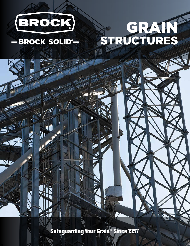

# GRAIN STRUCTURES

## - BROCK SOLID®

 $\frac{1}{2}$ 

ND

**Safeguarding Your Grain<sup>®</sup> Since 1957**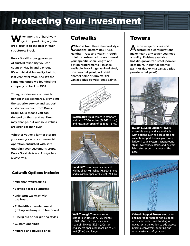## Protecting Your Investment

When months of hard work<br>go into producing a grain crop, trust it to the best in grain structures: Brock.

Brock Solid® is our guarantee of trusted reliability you can count on day in and day out. It's unmistakable quality, built to last year after year. And it's the same guarantee we founded the company on back in 1957.

Today, our dealers continue to uphold those standards, providing the superior service and support customers expect from Brock. Brock Solid means you can depend on them and us. Times may change, but our solid values are stronger than ever.

Whether you're a farmer storing your own grain or a commercial operation entrusted with safeguarding your customer's crops, Brock Solid delivers. Always has, always will.

#### Catwalk Options Include:

- Mid-span walkarounds
- Service access platforms
- Grip strut walkway with toe board
- Full-width expanded metal grating walkway with toe board
- Fiberglass or bar grating styles
- Custom openings
- Mitered and beveled ends

## **Catwalks**

Choose from three standard style<br>
Coptions: Bottom Box Truss, Handrail Truss and Walk-Through, or let us customize trusses to meet your specific span, length and option requirements. Finishes available: hot-dip galvanized steel, powder-coat paint, industrial enamel paint or duplex (galvanized plus powder-coat paint).



**Bottom Box Truss comes in standard** widths of 27-60 inches (686-1524 mm) and maximum span of 55 feet (16 m).



Handrail Truss comes in standard widths of 30-108 inches (762-2743 mm) and maximum span of 125 feet (38.1 m).



Walk-Through Truss comes in standard widths of 72-120 inches (1828-3048 mm) and maximum span of 190 feet (57.9 m). Custom engineered spans can reach up to 270 feet (82 m) and longer.

#### Towers

A wide range of sizes and<br> **A** customized configurations make nearly any tower you need a reality. Finishes available: hot-dip galvanized steel, powdercoat paint, industrial enamel paint or duplex (galvanized plus powder-coat paint).



Bucket Elevator Support Towers assemble easily and are available with options such as access bracing, catwalk support beams, platforms, ladder & cage systems, wraparound stairs, switchback stairs, and custom fabricated superstructures at the base.



Catwalk Support Towers are custom engineered for height, wind, speed or seismic zone. Freestanding or guyed, with the option to add access bracing, conveyors, spouting and other custom configurations.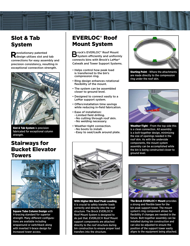

## Slot & Tab System

**R**evolutionary patented<br>Resign utilizes slot and tab connections for easy assembly and precision consistency, resulting in exceptional connection strength.



Slot & Tab System is precision fabricated for exceptional column strength.

## Stairways for Bucket Elevator Towers



Square Tube Column Design with X-bracing standard for superior strength. Many different configurations are available including wraparound or switchback along with inverted V-brace design for increased tower access.

## EVERLOC® Roof Mount System

Brock's EVERLOC<sup>®</sup> Roof Mount<br>System efficiently and uniformly connects bins with Brock's LeMar® Catwalk and Tower Support Systems.

- Helps control how peak load is transferred to the bin's compression ring.
- Ring design enhances rotational flexibility of the mount.
- The system can be assembled closer to ground level.
- Designed to connect easily to a LeMar support system.
- Offers installation time savings while reducing in-field fabrication.
- Ease of installation: -Limited field drilling. -No cutting through roof skin.
- -No welding necessary.
- Weather-tight connection.
- -No boots to install.
- -Easy to seal/caulk around plate.



With Higher Bin Roof Peak Loading, it is crucial to safely transfer loads correctly and directly into the roof structure. The Brock EVERLOC® Roof Mount System is designed to do just that. EVERLOC® Roof Mount support components are attached directly to the roof structure during bin construction to ensure proper load transfers into the structure.



**Starting Point - Where the attachments** are made directly to the compression ring under the roof skin.



Weather-Tight - From the top side this is a clean connection. All assembly is a bolt-together design, minimizing the size of openings needed in the roof skin. As with the underside components, the mount system assembly can be accomplished while the bin is being constructed closer to ground level.



The Brock EVERLOC® Mount provides a strong and flexible base for the bin peak support tower. The mount system's ring component allows for flexibility if changes are needed in the future. Bolt-together assembly can be installed during bin construction and can also be adjusted to ensure the position of the support tower easily aligns to the equipment being attached.